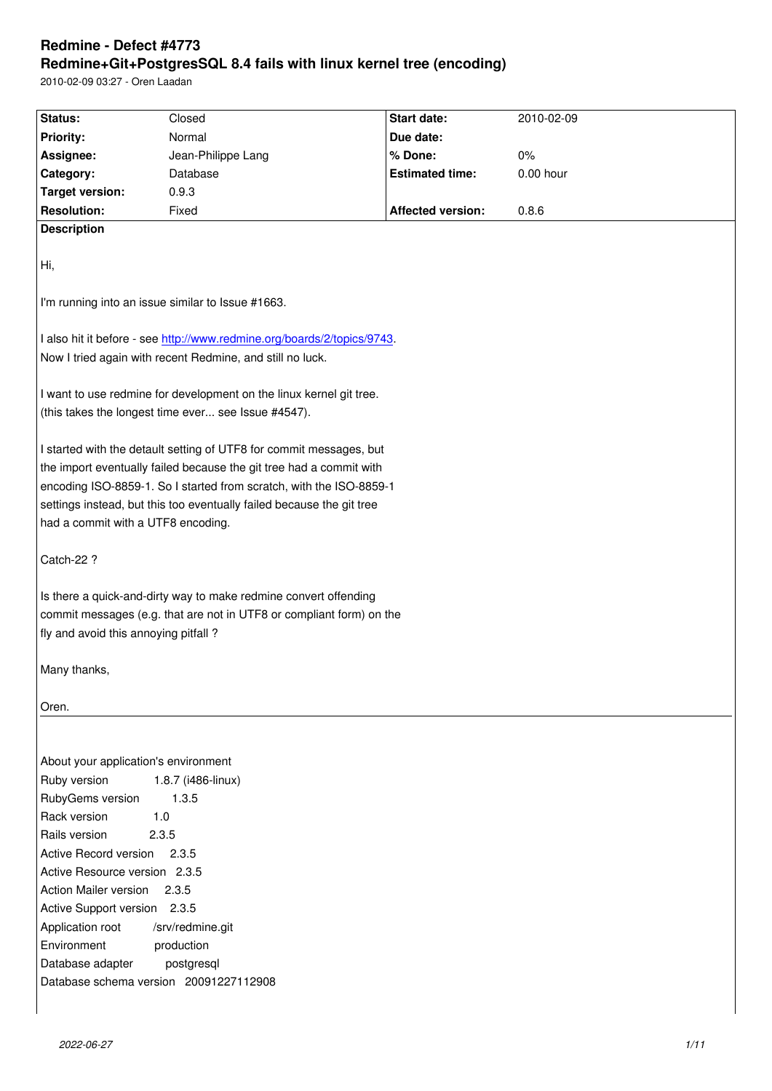#### **Redmine+Git+PostgresSQL 8.4 fails with linux kernel tree (encoding)**

2010-02-09 03:27 - Oren Laadan

| Status:                                                                    | Closed                                                                  | Start date:            | 2010-02-09 |  |  |
|----------------------------------------------------------------------------|-------------------------------------------------------------------------|------------------------|------------|--|--|
| <b>Priority:</b>                                                           | Normal                                                                  | Due date:              |            |  |  |
|                                                                            |                                                                         | % Done:                | $0\%$      |  |  |
| Assignee:                                                                  | Jean-Philippe Lang                                                      |                        |            |  |  |
| Category:                                                                  | Database                                                                | <b>Estimated time:</b> | 0.00 hour  |  |  |
| <b>Target version:</b>                                                     | 0.9.3                                                                   |                        |            |  |  |
| <b>Resolution:</b>                                                         | Fixed                                                                   | Affected version:      | 0.8.6      |  |  |
| <b>Description</b>                                                         |                                                                         |                        |            |  |  |
|                                                                            |                                                                         |                        |            |  |  |
| Hi,                                                                        |                                                                         |                        |            |  |  |
|                                                                            |                                                                         |                        |            |  |  |
|                                                                            | I'm running into an issue similar to Issue #1663.                       |                        |            |  |  |
|                                                                            |                                                                         |                        |            |  |  |
|                                                                            | I also hit it before - see http://www.redmine.org/boards/2/topics/9743. |                        |            |  |  |
|                                                                            | Now I tried again with recent Redmine, and still no luck.               |                        |            |  |  |
|                                                                            |                                                                         |                        |            |  |  |
| I want to use redmine for development on the linux kernel git tree.        |                                                                         |                        |            |  |  |
| (this takes the longest time ever see Issue #4547).                        |                                                                         |                        |            |  |  |
|                                                                            |                                                                         |                        |            |  |  |
| I started with the detault setting of UTF8 for commit messages, but        |                                                                         |                        |            |  |  |
|                                                                            | the import eventually failed because the git tree had a commit with     |                        |            |  |  |
|                                                                            | encoding ISO-8859-1. So I started from scratch, with the ISO-8859-1     |                        |            |  |  |
|                                                                            | settings instead, but this too eventually failed because the git tree   |                        |            |  |  |
| had a commit with a UTF8 encoding.                                         |                                                                         |                        |            |  |  |
|                                                                            |                                                                         |                        |            |  |  |
| Catch-22 ?                                                                 |                                                                         |                        |            |  |  |
|                                                                            |                                                                         |                        |            |  |  |
|                                                                            | Is there a quick-and-dirty way to make redmine convert offending        |                        |            |  |  |
|                                                                            |                                                                         |                        |            |  |  |
| commit messages (e.g. that are not in UTF8 or compliant form) on the       |                                                                         |                        |            |  |  |
| fly and avoid this annoying pitfall?                                       |                                                                         |                        |            |  |  |
|                                                                            |                                                                         |                        |            |  |  |
| Many thanks,                                                               |                                                                         |                        |            |  |  |
|                                                                            |                                                                         |                        |            |  |  |
| Oren.                                                                      |                                                                         |                        |            |  |  |
|                                                                            |                                                                         |                        |            |  |  |
|                                                                            |                                                                         |                        |            |  |  |
| About your application's environment<br>Ruby version<br>1.8.7 (i486-linux) |                                                                         |                        |            |  |  |
| 1.3.5                                                                      |                                                                         |                        |            |  |  |
| RubyGems version                                                           |                                                                         |                        |            |  |  |
| Rack version<br>1.0<br>Rails version<br>2.3.5                              |                                                                         |                        |            |  |  |
|                                                                            |                                                                         |                        |            |  |  |
| Active Record version<br>2.3.5                                             |                                                                         |                        |            |  |  |
| Active Resource version 2.3.5                                              |                                                                         |                        |            |  |  |
| <b>Action Mailer version</b><br>2.3.5                                      |                                                                         |                        |            |  |  |
| Active Support version 2.3.5                                               |                                                                         |                        |            |  |  |
| Application root<br>/srv/redmine.git                                       |                                                                         |                        |            |  |  |
| Environment<br>production                                                  |                                                                         |                        |            |  |  |
| Database adapter<br>postgresql                                             |                                                                         |                        |            |  |  |
| Database schema version 20091227112908                                     |                                                                         |                        |            |  |  |
|                                                                            |                                                                         |                        |            |  |  |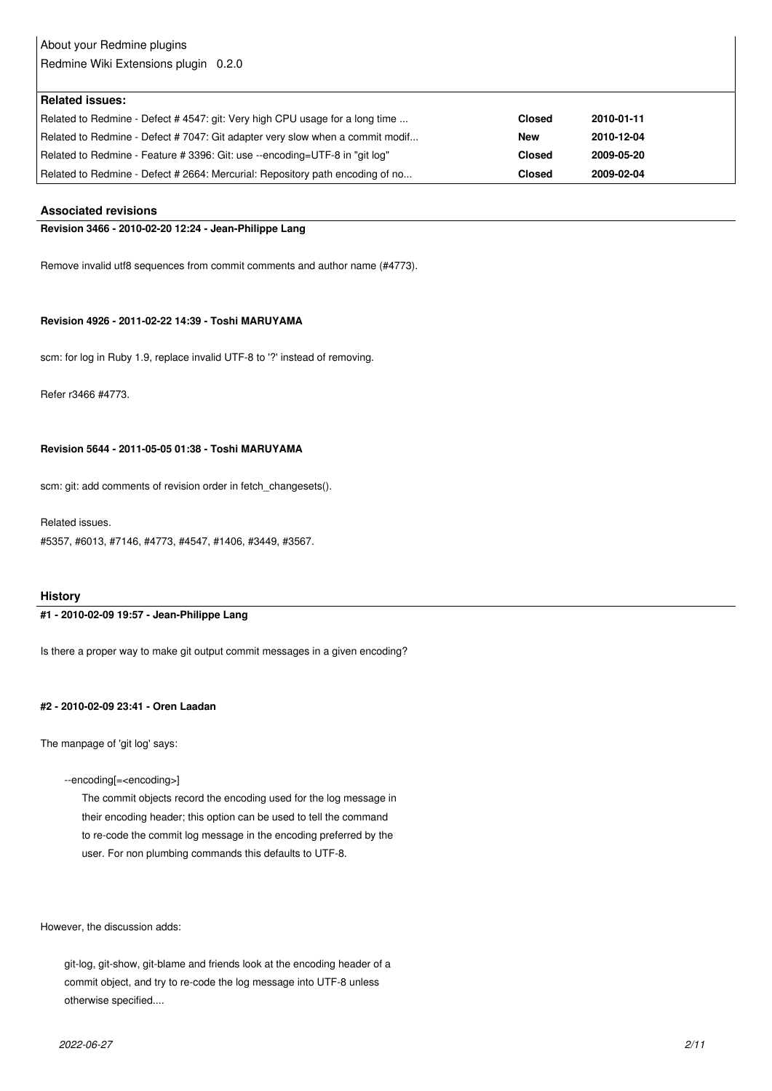# About your Redmine plugins

Redmine Wiki Extensions plugin 0.2.0

| <b>Related issues:</b>                                                        |               |            |
|-------------------------------------------------------------------------------|---------------|------------|
| Related to Redmine - Defect # 4547: git: Very high CPU usage for a long time  | <b>Closed</b> | 2010-01-11 |
| Related to Redmine - Defect #7047: Git adapter very slow when a commit modif  | <b>New</b>    | 2010-12-04 |
| Related to Redmine - Feature # 3396: Git: use --encoding=UTF-8 in "git log"   | <b>Closed</b> | 2009-05-20 |
| Related to Redmine - Defect # 2664: Mercurial: Repository path encoding of no | <b>Closed</b> | 2009-02-04 |

#### **Associated revisions**

#### **Revision 3466 - 2010-02-20 12:24 - Jean-Philippe Lang**

Remove invalid utf8 sequences from commit comments and author name (#4773).

#### **Revision 4926 - 2011-02-22 14:39 - Toshi MARUYAMA**

scm: for log in Ruby 1.9, replace invalid UTF-8 to '?' instead of removing.

Refer r3466 #4773.

#### **Revision 5644 - 2011-05-05 01:38 - Toshi MARUYAMA**

scm: git: add comments of revision order in fetch\_changesets().

Related issues.

#5357, #6013, #7146, #4773, #4547, #1406, #3449, #3567.

#### **History**

#### **#1 - 2010-02-09 19:57 - Jean-Philippe Lang**

Is there a proper way to make git output commit messages in a given encoding?

#### **#2 - 2010-02-09 23:41 - Oren Laadan**

The manpage of 'git log' says:

--encoding[=<encoding>]

 The commit objects record the encoding used for the log message in their encoding header; this option can be used to tell the command to re-code the commit log message in the encoding preferred by the user. For non plumbing commands this defaults to UTF-8.

However, the discussion adds:

 git-log, git-show, git-blame and friends look at the encoding header of a commit object, and try to re-code the log message into UTF-8 unless otherwise specified....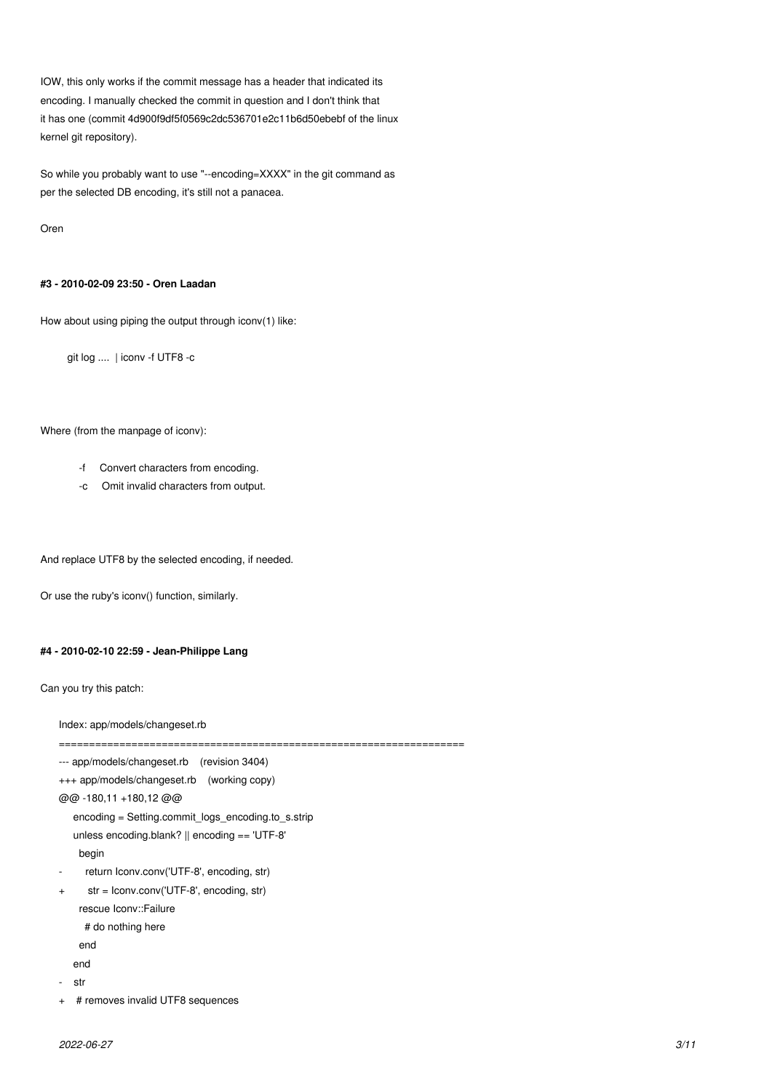IOW, this only works if the commit message has a header that indicated its encoding. I manually checked the commit in question and I don't think that it has one (commit 4d900f9df5f0569c2dc536701e2c11b6d50ebebf of the linux kernel git repository).

So while you probably want to use "--encoding=XXXX" in the git command as per the selected DB encoding, it's still not a panacea.

Oren

#### **#3 - 2010-02-09 23:50 - Oren Laadan**

How about using piping the output through iconv(1) like:

git log .... | iconv -f UTF8 -c

#### Where (from the manpage of iconv):

- -f Convert characters from encoding.
- -c Omit invalid characters from output.

And replace UTF8 by the selected encoding, if needed.

Or use the ruby's iconv() function, similarly.

#### **#4 - 2010-02-10 22:59 - Jean-Philippe Lang**

Can you try this patch:

Index: app/models/changeset.rb

```
--- app/models/changeset.rb (revision 3404)
+++ app/models/changeset.rb (working copy)
@@ -180,11 +180,12 @@
    encoding = Setting.commit_logs_encoding.to_s.strip
    unless encoding.blank? || encoding == 'UTF-8'
     begin
     return Iconv.conv('UTF-8', encoding, str)
+ str = Iconv.conv('UTF-8', encoding, str)
     rescue Iconv::Failure
     # do nothing here
     end
    end
   str
+ # removes invalid UTF8 sequences
```
===================================================================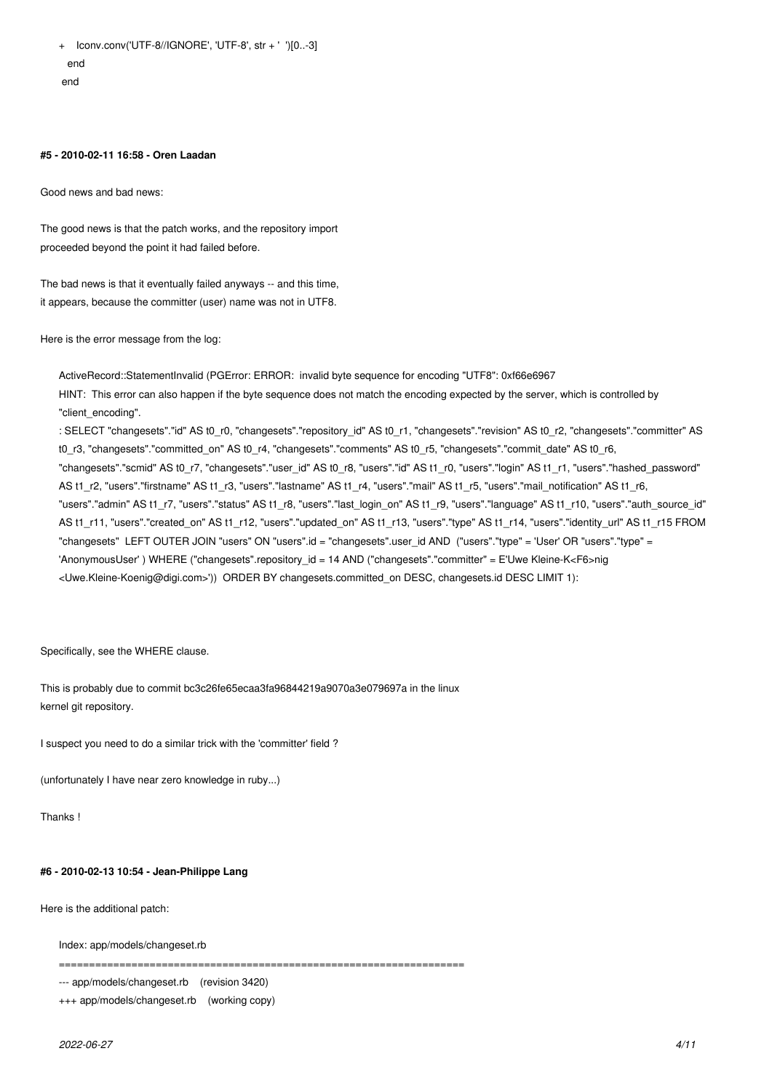+ Iconv.conv('UTF-8//IGNORE', 'UTF-8', str + ' ')[0..-3] end end

#### **#5 - 2010-02-11 16:58 - Oren Laadan**

Good news and bad news:

The good news is that the patch works, and the repository import proceeded beyond the point it had failed before.

The bad news is that it eventually failed anyways -- and this time, it appears, because the committer (user) name was not in UTF8.

Here is the error message from the log:

ActiveRecord::StatementInvalid (PGError: ERROR: invalid byte sequence for encoding "UTF8": 0xf66e6967 HINT: This error can also happen if the byte sequence does not match the encoding expected by the server, which is controlled by "client\_encoding". : SELECT "changesets"."id" AS t0\_r0, "changesets"."repository\_id" AS t0\_r1, "changesets"."revision" AS t0\_r2, "changesets"."committer" AS t0\_r3, "changesets"."committed\_on" AS t0\_r4, "changesets"."comments" AS t0\_r5, "changesets"."commit\_date" AS t0\_r6, "changesets"."scmid" AS t0\_r7, "changesets"."user\_id" AS t0\_r8, "users"."id" AS t1\_r0, "users"."login" AS t1\_r1, "users"."hashed\_password" AS t1\_r2, "users"."firstname" AS t1\_r3, "users"."lastname" AS t1\_r4, "users"."mail" AS t1\_r5, "users"."mail\_notification" AS t1\_r6, "users"."admin" AS t1\_r7, "users"."status" AS t1\_r8, "users"."last\_login\_on" AS t1\_r9, "users"."language" AS t1\_r10, "users"."auth\_source\_id" AS t1\_r11, "users"."created\_on" AS t1\_r12, "users"."updated\_on" AS t1\_r13, "users"."type" AS t1\_r14, "users"."identity\_url" AS t1\_r15 FROM "changesets" LEFT OUTER JOIN "users" ON "users".id = "changesets".user\_id AND ("users"."type" = 'User' OR "users"."type" =

'AnonymousUser' ) WHERE ("changesets".repository\_id = 14 AND ("changesets"."committer" = E'Uwe Kleine-K<F6>nig

<Uwe.Kleine-Koenig@digi.com>')) ORDER BY changesets.committed\_on DESC, changesets.id DESC LIMIT 1):

Specifically, see the WHERE clause.

This is probably due to commit bc3c26fe65ecaa3fa96844219a9070a3e079697a in the linux kernel git repository.

I suspect you need to do a similar trick with the 'committer' field ?

(unfortunately I have near zero knowledge in ruby...)

Thanks !

#### **#6 - 2010-02-13 10:54 - Jean-Philippe Lang**

Here is the additional patch:

Index: app/models/changeset.rb

===================================================================

--- app/models/changeset.rb (revision 3420)

+++ app/models/changeset.rb (working copy)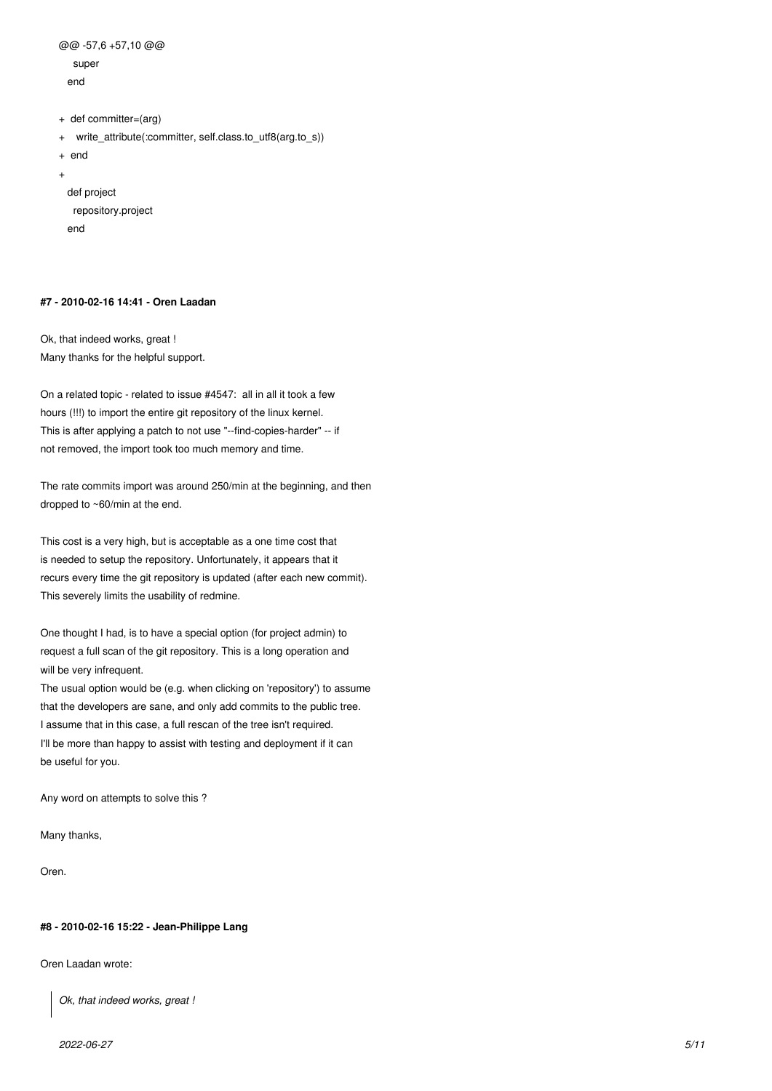```
@@ -57,6 +57,10 @@
    super
  end
+ def committer=(arg)
+ write_attribute(:committer, self.class.to_utf8(arg.to_s))
+ end
+ 
  def project
    repository.project
```
#### **#7 - 2010-02-16 14:41 - Oren Laadan**

end

Ok, that indeed works, great ! Many thanks for the helpful support.

On a related topic - related to issue #4547: all in all it took a few hours (!!!) to import the entire git repository of the linux kernel. This is after applying a patch to not use "--find-copies-harder" -- if not removed, the import took too much memory and time.

The rate commits import was around 250/min at the beginning, and then dropped to ~60/min at the end.

This cost is a very high, but is acceptable as a one time cost that is needed to setup the repository. Unfortunately, it appears that it recurs every time the git repository is updated (after each new commit). This severely limits the usability of redmine.

One thought I had, is to have a special option (for project admin) to request a full scan of the git repository. This is a long operation and will be very infrequent.

The usual option would be (e.g. when clicking on 'repository') to assume that the developers are sane, and only add commits to the public tree. I assume that in this case, a full rescan of the tree isn't required. I'll be more than happy to assist with testing and deployment if it can be useful for you.

Any word on attempts to solve this ?

Many thanks,

Oren.

#### **#8 - 2010-02-16 15:22 - Jean-Philippe Lang**

Oren Laadan wrote:

*Ok, that indeed works, great !*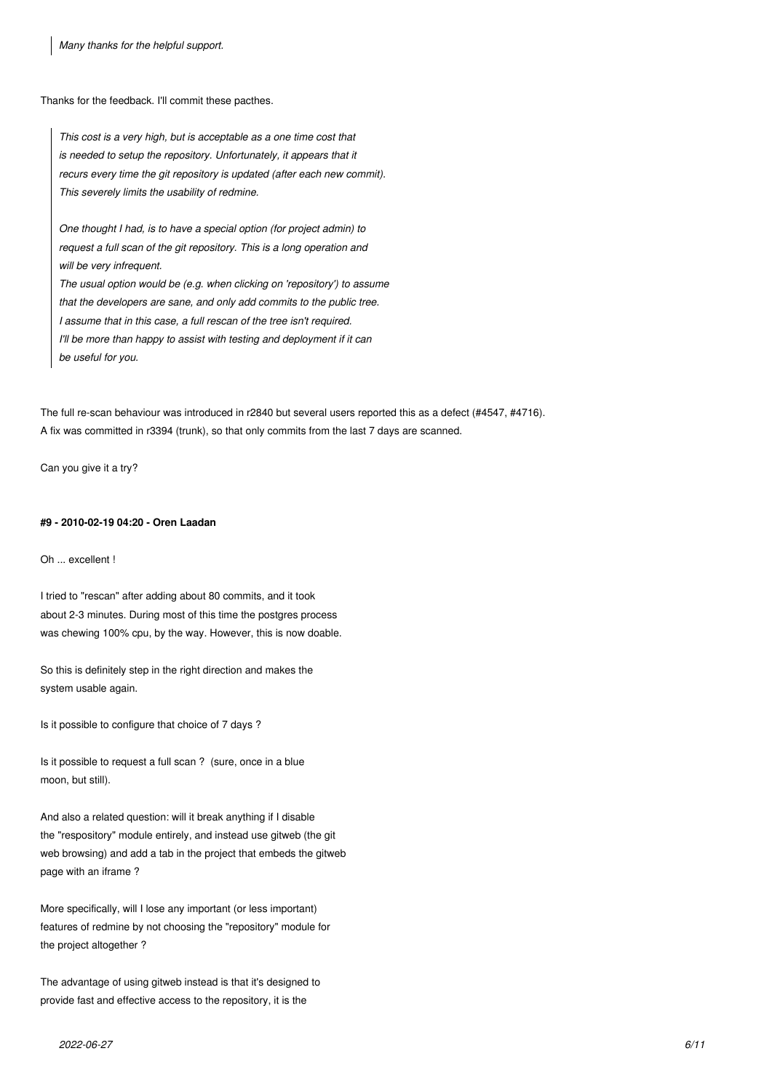*Many thanks for the helpful support.*

Thanks for the feedback. I'll commit these pacthes.

*This cost is a very high, but is acceptable as a one time cost that is needed to setup the repository. Unfortunately, it appears that it recurs every time the git repository is updated (after each new commit). This severely limits the usability of redmine.*

*One thought I had, is to have a special option (for project admin) to request a full scan of the git repository. This is a long operation and will be very infrequent.*

*The usual option would be (e.g. when clicking on 'repository') to assume that the developers are sane, and only add commits to the public tree. I assume that in this case, a full rescan of the tree isn't required. I'll be more than happy to assist with testing and deployment if it can be useful for you.*

The full re-scan behaviour was introduced in r2840 but several users reported this as a defect (#4547, #4716). A fix was committed in r3394 (trunk), so that only commits from the last 7 days are scanned.

Can you give it a try?

#### **#9 - 2010-02-19 04:20 - Oren Laadan**

Oh ... excellent !

I tried to "rescan" after adding about 80 commits, and it took about 2-3 minutes. During most of this time the postgres process was chewing 100% cpu, by the way. However, this is now doable.

So this is definitely step in the right direction and makes the system usable again.

Is it possible to configure that choice of 7 days ?

Is it possible to request a full scan ? (sure, once in a blue moon, but still).

And also a related question: will it break anything if I disable the "respository" module entirely, and instead use gitweb (the git web browsing) and add a tab in the project that embeds the gitweb page with an iframe ?

More specifically, will I lose any important (or less important) features of redmine by not choosing the "repository" module for the project altogether ?

The advantage of using gitweb instead is that it's designed to provide fast and effective access to the repository, it is the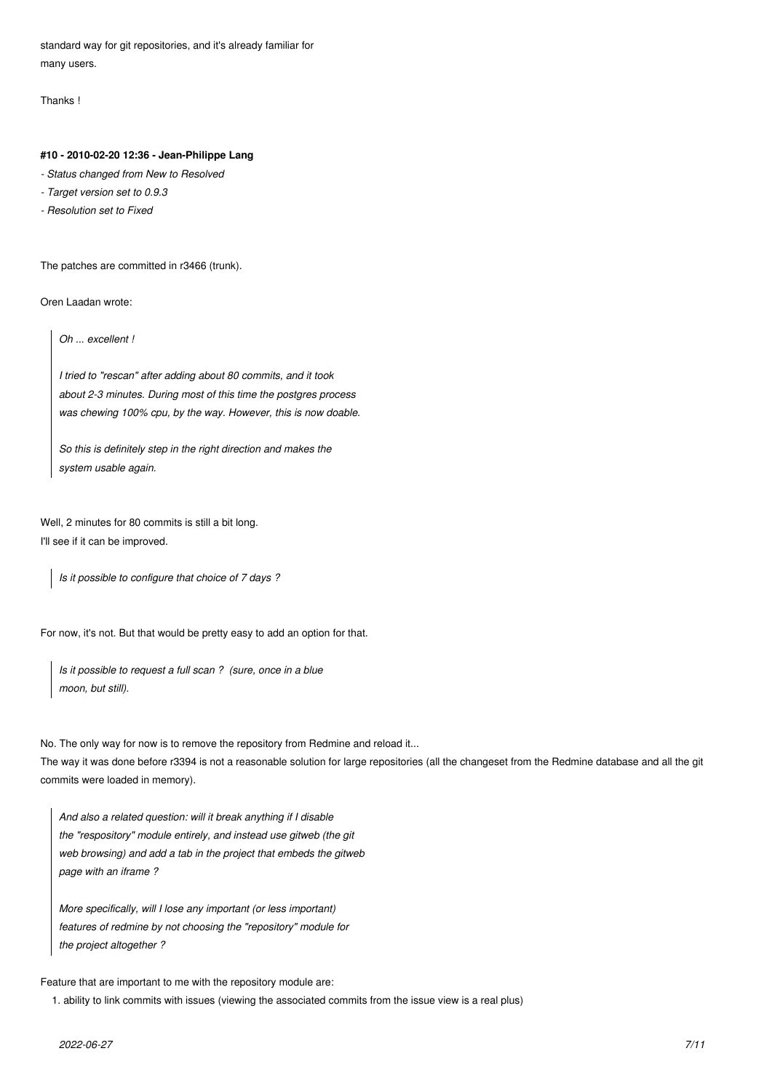standard way for git repositories, and it's already familiar for many users.

Thanks !

#### **#10 - 2010-02-20 12:36 - Jean-Philippe Lang**

- *Status changed from New to Resolved*
- *Target version set to 0.9.3*
- *Resolution set to Fixed*

The patches are committed in r3466 (trunk).

Oren Laadan wrote:

*Oh ... excellent !*

*I tried to "rescan" after adding about 80 commits, and it took about 2-3 minutes. During most of this time the postgres process was chewing 100% cpu, by the way. However, this is now doable.*

*So this is definitely step in the right direction and makes the system usable again.*

Well, 2 minutes for 80 commits is still a bit long. I'll see if it can be improved.

*Is it possible to configure that choice of 7 days ?*

For now, it's not. But that would be pretty easy to add an option for that.

*Is it possible to request a full scan ? (sure, once in a blue moon, but still).*

No. The only way for now is to remove the repository from Redmine and reload it...

The way it was done before r3394 is not a reasonable solution for large repositories (all the changeset from the Redmine database and all the git commits were loaded in memory).

*And also a related question: will it break anything if I disable the "respository" module entirely, and instead use gitweb (the git web browsing) and add a tab in the project that embeds the gitweb page with an iframe ?*

*More specifically, will I lose any important (or less important) features of redmine by not choosing the "repository" module for the project altogether ?*

Feature that are important to me with the repository module are:

1. ability to link commits with issues (viewing the associated commits from the issue view is a real plus)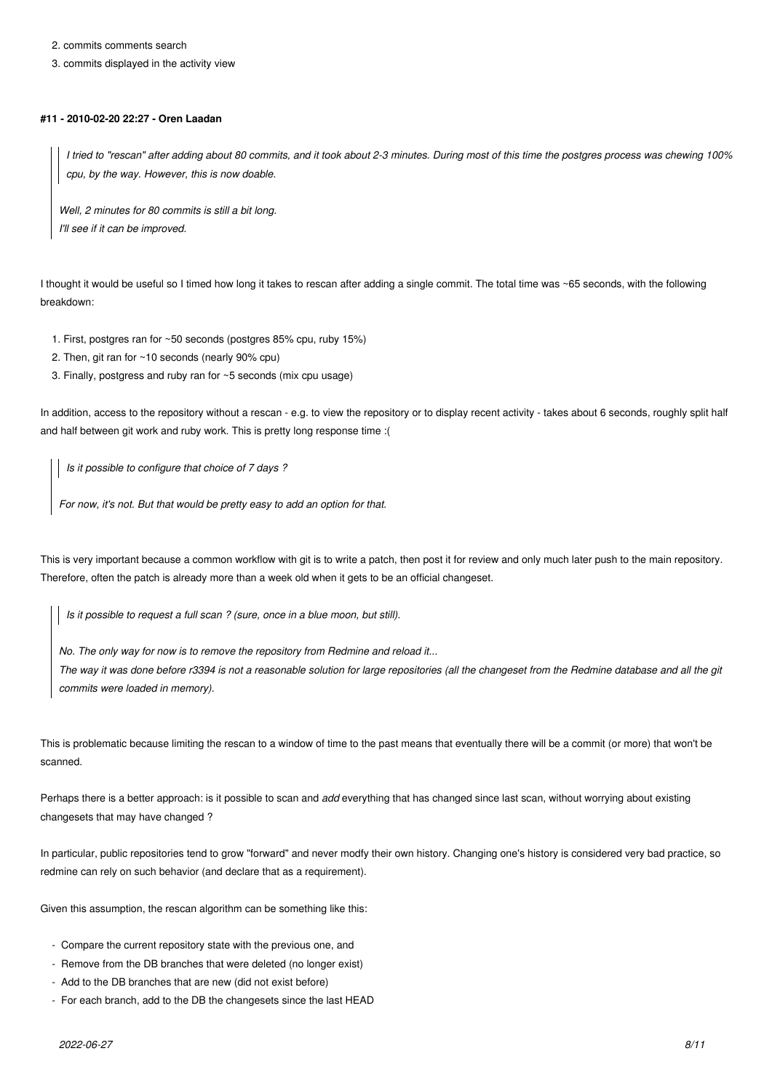2. commits comments search

3. commits displayed in the activity view

#### **#11 - 2010-02-20 22:27 - Oren Laadan**

*I tried to "rescan" after adding about 80 commits, and it took about 2-3 minutes. During most of this time the postgres process was chewing 100% cpu, by the way. However, this is now doable.*

*Well, 2 minutes for 80 commits is still a bit long. I'll see if it can be improved.*

I thought it would be useful so I timed how long it takes to rescan after adding a single commit. The total time was ~65 seconds, with the following breakdown:

- 1. First, postgres ran for ~50 seconds (postgres 85% cpu, ruby 15%)
- 2. Then, git ran for ~10 seconds (nearly 90% cpu)
- 3. Finally, postgress and ruby ran for ~5 seconds (mix cpu usage)

In addition, access to the repository without a rescan - e.g. to view the repository or to display recent activity - takes about 6 seconds, roughly split half and half between git work and ruby work. This is pretty long response time :(

*Is it possible to configure that choice of 7 days ?*

*For now, it's not. But that would be pretty easy to add an option for that.*

This is very important because a common workflow with git is to write a patch, then post it for review and only much later push to the main repository. Therefore, often the patch is already more than a week old when it gets to be an official changeset.

*Is it possible to request a full scan ? (sure, once in a blue moon, but still).*

*No. The only way for now is to remove the repository from Redmine and reload it...*

*The way it was done before r3394 is not a reasonable solution for large repositories (all the changeset from the Redmine database and all the git commits were loaded in memory).*

This is problematic because limiting the rescan to a window of time to the past means that eventually there will be a commit (or more) that won't be scanned.

Perhaps there is a better approach: is it possible to scan and *add* everything that has changed since last scan, without worrying about existing changesets that may have changed ?

In particular, public repositories tend to grow "forward" and never modfy their own history. Changing one's history is considered very bad practice, so redmine can rely on such behavior (and declare that as a requirement).

Given this assumption, the rescan algorithm can be something like this:

- Compare the current repository state with the previous one, and
- Remove from the DB branches that were deleted (no longer exist)
- Add to the DB branches that are new (did not exist before)
- For each branch, add to the DB the changesets since the last HEAD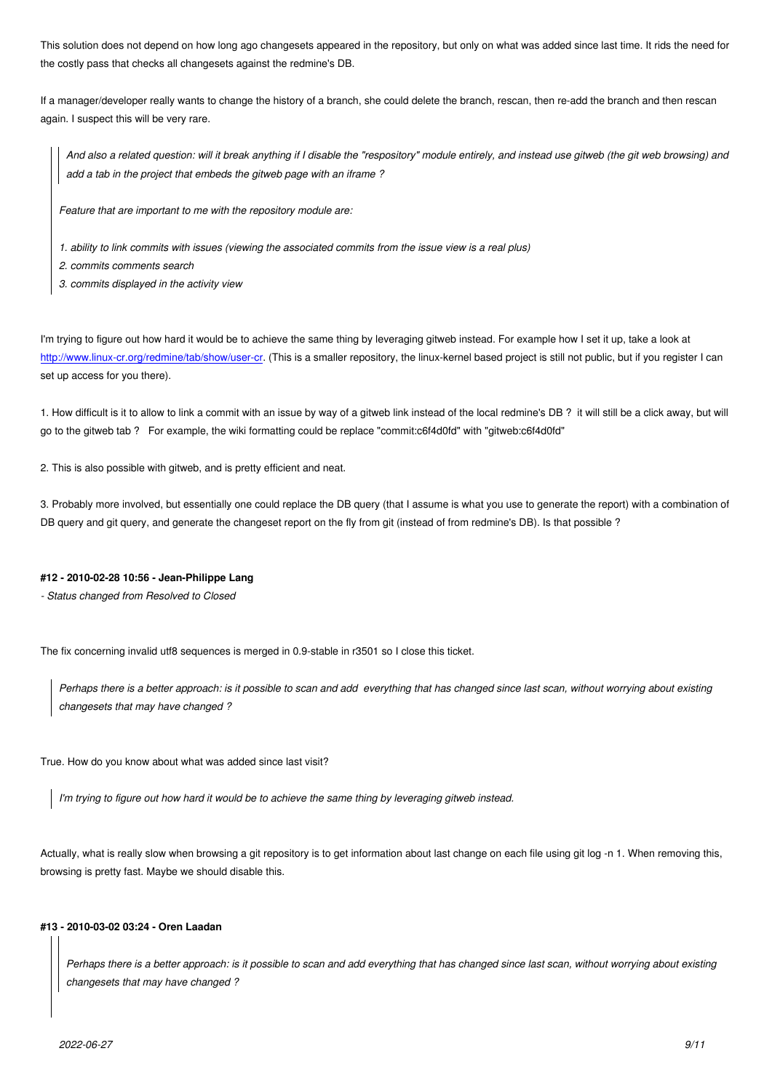the costly pass that checks all changesets against the redmine's DB.

If a manager/developer really wants to change the history of a branch, she could delete the branch, rescan, then re-add the branch and then rescan again. I suspect this will be very rare.

*And also a related question: will it break anything if I disable the "respository" module entirely, and instead use gitweb (the git web browsing) and add a tab in the project that embeds the gitweb page with an iframe ?*

*Feature that are important to me with the repository module are:*

- *1. ability to link commits with issues (viewing the associated commits from the issue view is a real plus)*
- *2. commits comments search*
- *3. commits displayed in the activity view*

I'm trying to figure out how hard it would be to achieve the same thing by leveraging gitweb instead. For example how I set it up, take a look at http://www.linux-cr.org/redmine/tab/show/user-cr. (This is a smaller repository, the linux-kernel based project is still not public, but if you register I can set up access for you there).

[1. How difficult is it to allow to link a commit with](http://www.linux-cr.org/redmine/tab/show/user-cr) an issue by way of a gitweb link instead of the local redmine's DB ? it will still be a click away, but will go to the gitweb tab ? For example, the wiki formatting could be replace "commit:c6f4d0fd" with "gitweb:c6f4d0fd"

2. This is also possible with gitweb, and is pretty efficient and neat.

3. Probably more involved, but essentially one could replace the DB query (that I assume is what you use to generate the report) with a combination of DB query and git query, and generate the changeset report on the fly from git (instead of from redmine's DB). Is that possible ?

#### **#12 - 2010-02-28 10:56 - Jean-Philippe Lang**

*- Status changed from Resolved to Closed*

The fix concerning invalid utf8 sequences is merged in 0.9-stable in r3501 so I close this ticket.

*Perhaps there is a better approach: is it possible to scan and add everything that has changed since last scan, without worrying about existing changesets that may have changed ?*

True. How do you know about what was added since last visit?

*I'm trying to figure out how hard it would be to achieve the same thing by leveraging gitweb instead.*

Actually, what is really slow when browsing a git repository is to get information about last change on each file using git log -n 1. When removing this, browsing is pretty fast. Maybe we should disable this.

#### **#13 - 2010-03-02 03:24 - Oren Laadan**

*Perhaps there is a better approach: is it possible to scan and add everything that has changed since last scan, without worrying about existing changesets that may have changed ?*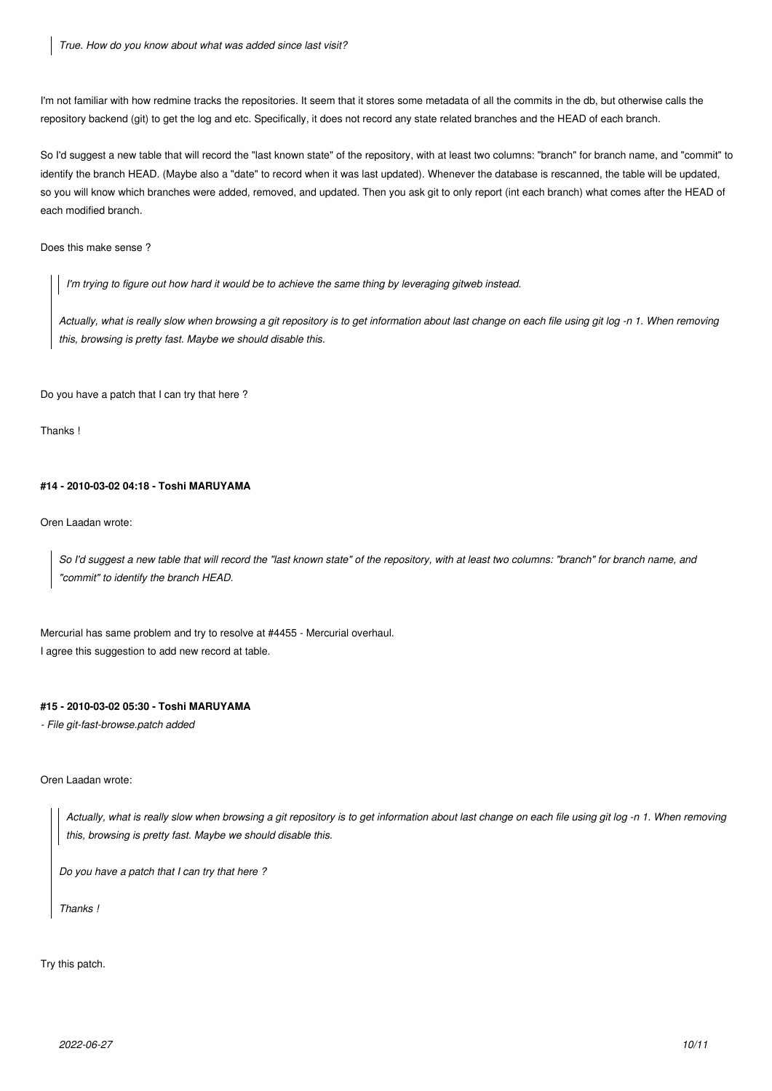I'm not familiar with how redmine tracks the repositories. It seem that it stores some metadata of all the commits in the db, but otherwise calls the repository backend (git) to get the log and etc. Specifically, it does not record any state related branches and the HEAD of each branch.

So I'd suggest a new table that will record the "last known state" of the repository, with at least two columns: "branch" for branch name, and "commit" to identify the branch HEAD. (Maybe also a "date" to record when it was last updated). Whenever the database is rescanned, the table will be updated, so you will know which branches were added, removed, and updated. Then you ask git to only report (int each branch) what comes after the HEAD of each modified branch.

Does this make sense ?

*I'm trying to figure out how hard it would be to achieve the same thing by leveraging gitweb instead.*

*Actually, what is really slow when browsing a git repository is to get information about last change on each file using git log -n 1. When removing this, browsing is pretty fast. Maybe we should disable this.*

Do you have a patch that I can try that here ?

Thanks !

#### **#14 - 2010-03-02 04:18 - Toshi MARUYAMA**

Oren Laadan wrote:

*So I'd suggest a new table that will record the "last known state" of the repository, with at least two columns: "branch" for branch name, and "commit" to identify the branch HEAD.*

Mercurial has same problem and try to resolve at #4455 - Mercurial overhaul. I agree this suggestion to add new record at table.

### **#15 - 2010-03-02 05:30 - Toshi MARUYAMA**

*- File git-fast-browse.patch added*

#### Oren Laadan wrote:

*Actually, what is really slow when browsing a git repository is to get information about last change on each file using git log -n 1. When removing this, browsing is pretty fast. Maybe we should disable this.*

*Do you have a patch that I can try that here ?*

*Thanks !*

Try this patch.